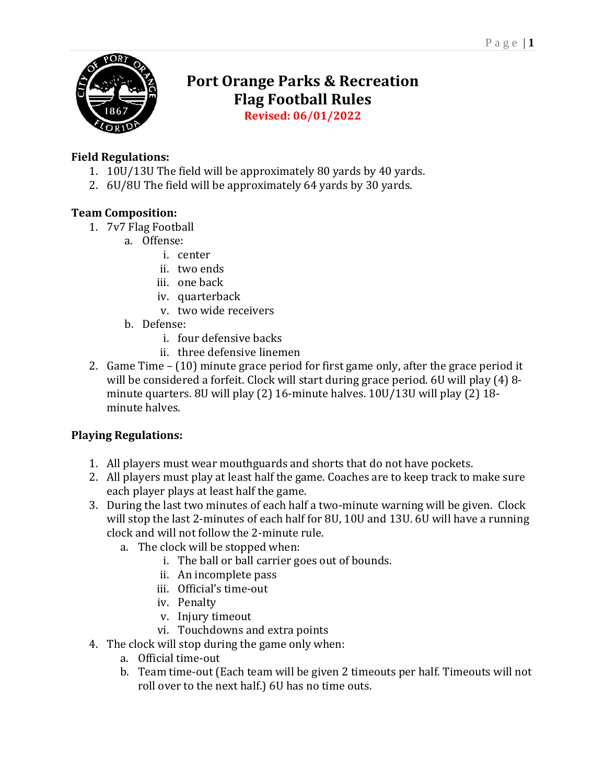

# **Port Orange Parks & Recreation Flag Football Rules**

**Revised: 06/01/2022**

## **Field Regulations:**

- 1. 10U/13U The field will be approximately 80 yards by 40 yards.
- 2. 6U/8U The field will be approximately 64 yards by 30 yards.

### **Team Composition:**

- 1. 7v7 Flag Football
	- a. Offense:
		- i. center
		- ii. two ends
		- iii. one back
		- iv. quarterback
		- v. two wide receivers
	- b. Defense:
		- i. four defensive backs
		- ii. three defensive linemen
- 2. Game Time (10) minute grace period for first game only, after the grace period it will be considered a forfeit. Clock will start during grace period. 6U will play (4) 8 minute quarters. 8U will play (2) 16-minute halves. 10U/13U will play (2) 18 minute halves.

# **Playing Regulations:**

- 1. All players must wear mouthguards and shorts that do not have pockets.
- 2. All players must play at least half the game. Coaches are to keep track to make sure each player plays at least half the game.
- 3. During the last two minutes of each half a two-minute warning will be given. Clock will stop the last 2-minutes of each half for 8U, 10U and 13U. 6U will have a running clock and will not follow the 2-minute rule.
	- a. The clock will be stopped when:
		- i. The ball or ball carrier goes out of bounds.
		- ii. An incomplete pass
		- iii. Official's time-out
		- iv. Penalty
		- v. Injury timeout
		- vi. Touchdowns and extra points
- 4. The clock will stop during the game only when:
	- a. Official time-out
	- b. Team time-out (Each team will be given 2 timeouts per half. Timeouts will not roll over to the next half.) 6U has no time outs.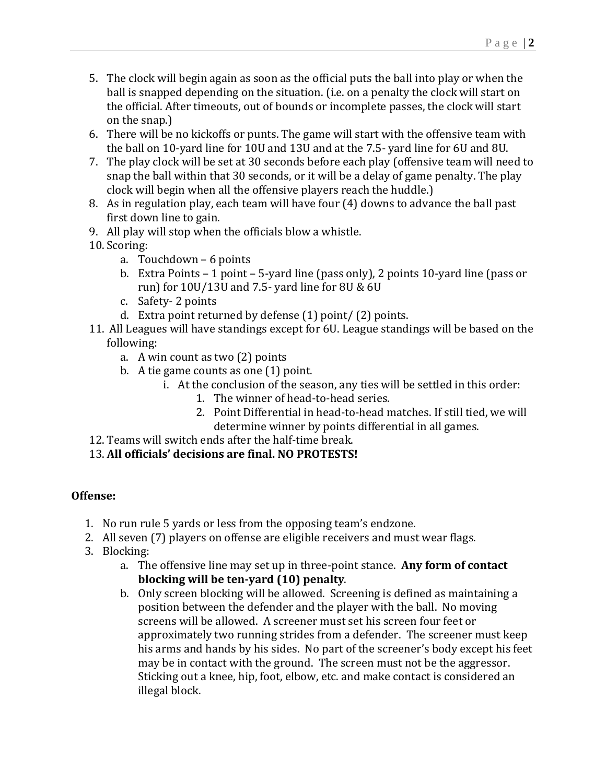- 5. The clock will begin again as soon as the official puts the ball into play or when the ball is snapped depending on the situation. (i.e. on a penalty the clock will start on the official. After timeouts, out of bounds or incomplete passes, the clock will start on the snap.)
- 6. There will be no kickoffs or punts. The game will start with the offensive team with the ball on 10-yard line for 10U and 13U and at the 7.5- yard line for 6U and 8U.
- 7. The play clock will be set at 30 seconds before each play (offensive team will need to snap the ball within that 30 seconds, or it will be a delay of game penalty. The play clock will begin when all the offensive players reach the huddle.)
- 8. As in regulation play, each team will have four (4) downs to advance the ball past first down line to gain.
- 9. All play will stop when the officials blow a whistle.
- 10. Scoring:
	- a. Touchdown 6 points
	- b. Extra Points 1 point 5-yard line (pass only), 2 points 10-yard line (pass or run) for 10U/13U and 7.5- yard line for 8U & 6U
	- c. Safety- 2 points
	- d. Extra point returned by defense (1) point/ (2) points.
- 11. All Leagues will have standings except for 6U. League standings will be based on the following:
	- a. A win count as two (2) points
	- b. A tie game counts as one (1) point.
		- i. At the conclusion of the season, any ties will be settled in this order:
			- 1. The winner of head-to-head series.
			- 2. Point Differential in head-to-head matches. If still tied, we will determine winner by points differential in all games.
- 12. Teams will switch ends after the half-time break.
- 13. **All officials' decisions are final. NO PROTESTS!**

### **Offense:**

- 1. No run rule 5 yards or less from the opposing team's endzone.
- 2. All seven (7) players on offense are eligible receivers and must wear flags.
- 3. Blocking:
	- a. The offensive line may set up in three-point stance. **Any form of contact blocking will be ten-yard (10) penalty**.
	- b. Only screen blocking will be allowed. Screening is defined as maintaining a position between the defender and the player with the ball. No moving screens will be allowed. A screener must set his screen four feet or approximately two running strides from a defender. The screener must keep his arms and hands by his sides. No part of the screener's body except his feet may be in contact with the ground. The screen must not be the aggressor. Sticking out a knee, hip, foot, elbow, etc. and make contact is considered an illegal block.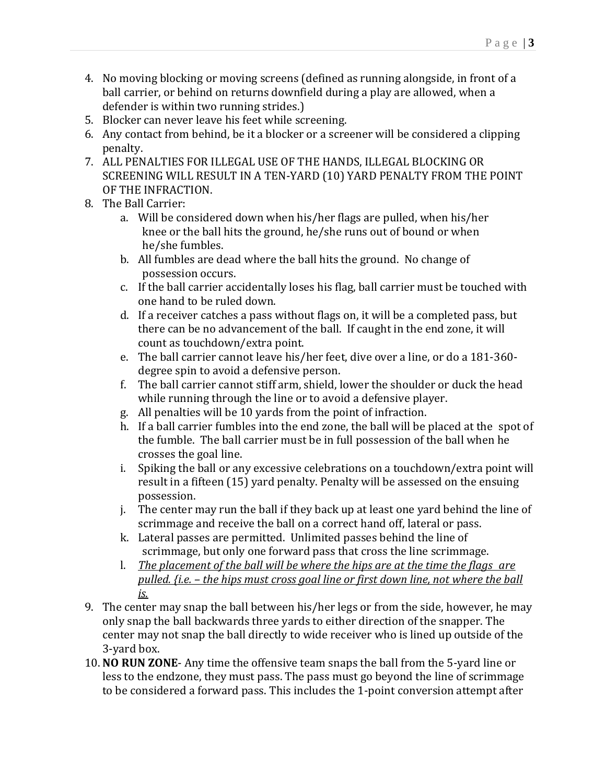- 4. No moving blocking or moving screens (defined as running alongside, in front of a ball carrier, or behind on returns downfield during a play are allowed, when a defender is within two running strides.)
- 5. Blocker can never leave his feet while screening.
- 6. Any contact from behind, be it a blocker or a screener will be considered a clipping penalty.
- 7. ALL PENALTIES FOR ILLEGAL USE OF THE HANDS, ILLEGAL BLOCKING OR SCREENING WILL RESULT IN A TEN-YARD (10) YARD PENALTY FROM THE POINT OF THE INFRACTION.
- 8. The Ball Carrier:
	- a. Will be considered down when his/her flags are pulled, when his/her knee or the ball hits the ground, he/she runs out of bound or when he/she fumbles.
	- b. All fumbles are dead where the ball hits the ground. No change of possession occurs.
	- c. If the ball carrier accidentally loses his flag, ball carrier must be touched with one hand to be ruled down.
	- d. If a receiver catches a pass without flags on, it will be a completed pass, but there can be no advancement of the ball. If caught in the end zone, it will count as touchdown/extra point.
	- e. The ball carrier cannot leave his/her feet, dive over a line, or do a 181-360 degree spin to avoid a defensive person.
	- f. The ball carrier cannot stiff arm, shield, lower the shoulder or duck the head while running through the line or to avoid a defensive player.
	- g. All penalties will be 10 yards from the point of infraction.
	- h. If a ball carrier fumbles into the end zone, the ball will be placed at the spot of the fumble. The ball carrier must be in full possession of the ball when he crosses the goal line.
	- i. Spiking the ball or any excessive celebrations on a touchdown/extra point will result in a fifteen (15) yard penalty. Penalty will be assessed on the ensuing possession.
	- j. The center may run the ball if they back up at least one yard behind the line of scrimmage and receive the ball on a correct hand off, lateral or pass.
	- k. Lateral passes are permitted. Unlimited passes behind the line of scrimmage, but only one forward pass that cross the line scrimmage.
	- l. *The placement of the ball will be where the hips are at the time the flags are pulled. {i.e. – the hips must cross goal line or first down line, not where the ball is.*
- 9. The center may snap the ball between his/her legs or from the side, however, he may only snap the ball backwards three yards to either direction of the snapper. The center may not snap the ball directly to wide receiver who is lined up outside of the 3-yard box.
- 10. **NO RUN ZONE** Any time the offensive team snaps the ball from the 5-yard line or less to the endzone, they must pass. The pass must go beyond the line of scrimmage to be considered a forward pass. This includes the 1-point conversion attempt after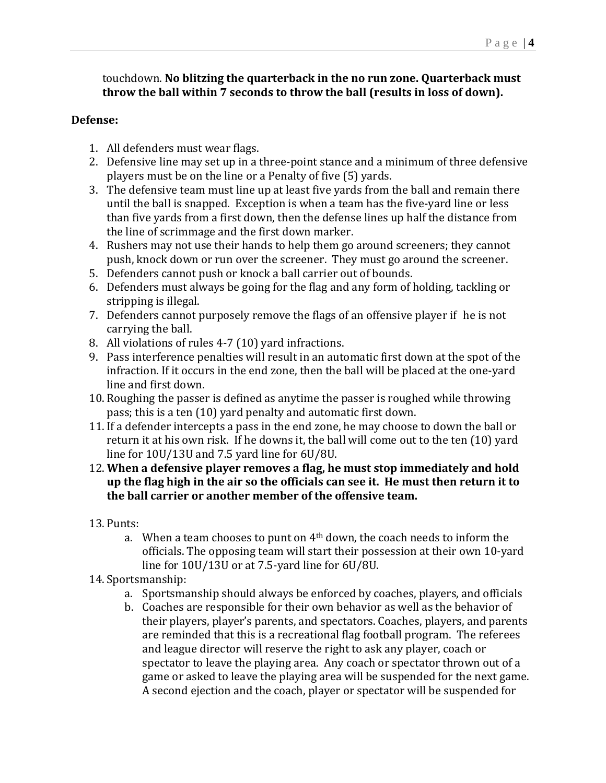# touchdown. **No blitzing the quarterback in the no run zone. Quarterback must throw the ball within 7 seconds to throw the ball (results in loss of down).**

#### **Defense:**

- 1. All defenders must wear flags.
- 2. Defensive line may set up in a three-point stance and a minimum of three defensive players must be on the line or a Penalty of five (5) yards.
- 3. The defensive team must line up at least five yards from the ball and remain there until the ball is snapped. Exception is when a team has the five-yard line or less than five yards from a first down, then the defense lines up half the distance from the line of scrimmage and the first down marker.
- 4. Rushers may not use their hands to help them go around screeners; they cannot push, knock down or run over the screener. They must go around the screener.
- 5. Defenders cannot push or knock a ball carrier out of bounds.
- 6. Defenders must always be going for the flag and any form of holding, tackling or stripping is illegal.
- 7. Defenders cannot purposely remove the flags of an offensive player if he is not carrying the ball.
- 8. All violations of rules 4-7 (10) yard infractions.
- 9. Pass interference penalties will result in an automatic first down at the spot of the infraction. If it occurs in the end zone, then the ball will be placed at the one-yard line and first down.
- 10. Roughing the passer is defined as anytime the passer is roughed while throwing pass; this is a ten (10) yard penalty and automatic first down.
- 11. If a defender intercepts a pass in the end zone, he may choose to down the ball or return it at his own risk. If he downs it, the ball will come out to the ten (10) yard line for 10U/13U and 7.5 yard line for 6U/8U.
- 12. **When a defensive player removes a flag, he must stop immediately and hold up the flag high in the air so the officials can see it. He must then return it to the ball carrier or another member of the offensive team.**
- 13. Punts:
	- a. When a team chooses to punt on 4th down, the coach needs to inform the officials. The opposing team will start their possession at their own 10-yard line for 10U/13U or at 7.5-yard line for 6U/8U.
- 14. Sportsmanship:
	- a. Sportsmanship should always be enforced by coaches, players, and officials
	- b. Coaches are responsible for their own behavior as well as the behavior of their players, player's parents, and spectators. Coaches, players, and parents are reminded that this is a recreational flag football program. The referees and league director will reserve the right to ask any player, coach or spectator to leave the playing area. Any coach or spectator thrown out of a game or asked to leave the playing area will be suspended for the next game. A second ejection and the coach, player or spectator will be suspended for